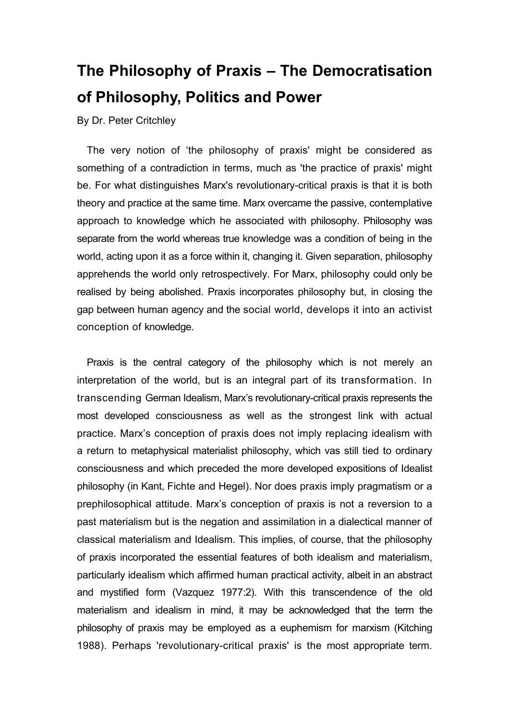# **The Philosophy of Praxis – The Democratisation of Philosophy, Politics and Power**

By Dr. Peter Critchley

The very notion of 'the philosophy of praxis' might be considered as something of a contradiction in terms, much as 'the practice of praxis' might be. For what distinguishes Marx's revolutionary-critical praxis is that it is both theory and practice at the same time. Marx overcame the passive, contemplative approach to knowledge which he associated with philosophy. Philosophy was separate from the world whereas true knowledge was a condition of being in the world, acting upon it as a force within it, changing it. Given separation, philosophy apprehends the world only retrospectively. For Marx, philosophy could only be realised by being abolished. Praxis incorporates philosophy but, in closing the gap between human agency and the social world, develops it into an activist conception of knowledge.

Praxis is the central category of the philosophy which is not merely an interpretation of the world, but is an integral part of its transformation. In transcending German Idealism, Marx's revolutionary-critical praxis represents the most developed consciousness as well as the strongest link with actual practice. Marx's conception of praxis does not imply replacing idealism with a return to metaphysical materialist philosophy, which vas still tied to ordinary consciousness and which preceded the more developed expositions of Idealist philosophy (in Kant, Fichte and Hegel). Nor does praxis imply pragmatism or a prephilosophical attitude. Marx's conception of praxis is not a reversion to a past materialism but is the negation and assimilation in a dialectical manner of classical materialism and Idealism. This implies, of course, that the philosophy of praxis incorporated the essential features of both idealism and materialism, particularly idealism which affirmed human practical activity, albeit in an abstract and mystified form (Vazquez 1977:2). With this transcendence of the old materialism and idealism in mind, it may be acknowledged that the term the philosophy of praxis may be employed as a euphemism for marxism (Kitching 1988). Perhaps 'revolutionary-critical praxis' is the most appropriate term.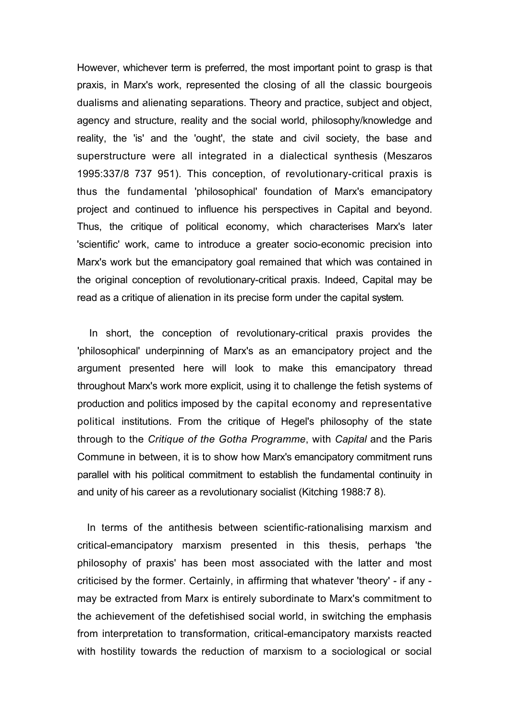However, whichever term is preferred, the most important point to grasp is that praxis, in Marx's work, represented the closing of all the classic bourgeois dualisms and alienating separations. Theory and practice, subject and object, agency and structure, reality and the social world, philosophy/knowledge and reality, the 'is' and the 'ought', the state and civil society, the base and superstructure were all integrated in a dialectical synthesis (Meszaros 1995:337/8 737 951). This conception, of revolutionary-critical praxis is thus the fundamental 'philosophical' foundation of Marx's emancipatory project and continued to influence his perspectives in Capital and beyond. Thus, the critique of political economy, which characterises Marx's later 'scientific' work, came to introduce a greater socio-economic precision into Marx's work but the emancipatory goal remained that which was contained in the original conception of revolutionary-critical praxis. Indeed, Capital may be read as a critique of alienation in its precise form under the capital system.

In short, the conception of revolutionary-critical praxis provides the 'philosophical' underpinning of Marx's as an emancipatory project and the argument presented here will look to make this emancipatory thread throughout Marx's work more explicit, using it to challenge the fetish systems of production and politics imposed by the capital economy and representative political institutions. From the critique of Hegel's philosophy of the state through to the *Critique of the Gotha Programme*, with *Capital* and the Paris Commune in between, it is to show how Marx's emancipatory commitment runs parallel with his political commitment to establish the fundamental continuity in and unity of his career as a revolutionary socialist (Kitching 1988:7 8).

In terms of the antithesis between scientific-rationalising marxism and critical-emancipatory marxism presented in this thesis, perhaps 'the philosophy of praxis' has been most associated with the latter and most criticised by the former. Certainly, in affirming that whatever 'theory' - if any may be extracted from Marx is entirely subordinate to Marx's commitment to the achievement of the defetishised social world, in switching the emphasis from interpretation to transformation, critical-emancipatory marxists reacted with hostility towards the reduction of marxism to a sociological or social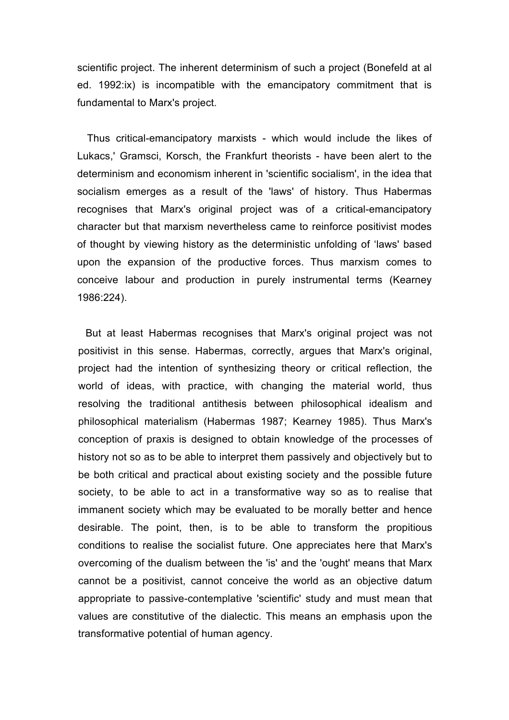scientific project. The inherent determinism of such a project (Bonefeld at al ed. 1992:ix) is incompatible with the emancipatory commitment that is fundamental to Marx's project.

Thus critical-emancipatory marxists - which would include the likes of Lukacs,' Gramsci, Korsch, the Frankfurt theorists - have been alert to the determinism and economism inherent in 'scientific socialism', in the idea that socialism emerges as a result of the 'laws' of history. Thus Habermas recognises that Marx's original project was of a critical-emancipatory character but that marxism nevertheless came to reinforce positivist modes of thought by viewing history as the deterministic unfolding of 'laws' based upon the expansion of the productive forces. Thus marxism comes to conceive labour and production in purely instrumental terms (Kearney 1986:224).

But at least Habermas recognises that Marx's original project was not positivist in this sense. Habermas, correctly, argues that Marx's original, project had the intention of synthesizing theory or critical reflection, the world of ideas, with practice, with changing the material world, thus resolving the traditional antithesis between philosophical idealism and philosophical materialism (Habermas 1987; Kearney 1985). Thus Marx's conception of praxis is designed to obtain knowledge of the processes of history not so as to be able to interpret them passively and objectively but to be both critical and practical about existing society and the possible future society, to be able to act in a transformative way so as to realise that immanent society which may be evaluated to be morally better and hence desirable. The point, then, is to be able to transform the propitious conditions to realise the socialist future. One appreciates here that Marx's overcoming of the dualism between the 'is' and the 'ought' means that Marx cannot be a positivist, cannot conceive the world as an objective datum appropriate to passive-contemplative 'scientific' study and must mean that values are constitutive of the dialectic. This means an emphasis upon the transformative potential of human agency.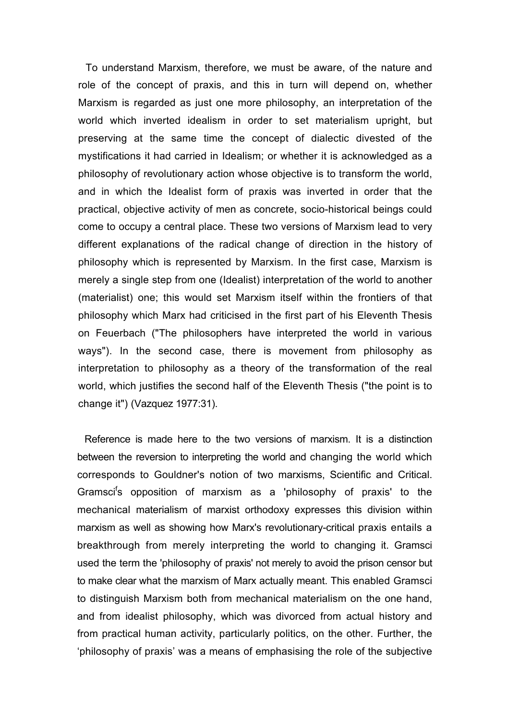To understand Marxism, therefore, we must be aware, of the nature and role of the concept of praxis, and this in turn will depend on, whether Marxism is regarded as just one more philosophy, an interpretation of the world which inverted idealism in order to set materialism upright, but preserving at the same time the concept of dialectic divested of the mystifications it had carried in Idealism; or whether it is acknowledged as a philosophy of revolutionary action whose objective is to transform the world, and in which the Idealist form of praxis was inverted in order that the practical, objective activity of men as concrete, socio-historical beings could come to occupy a central place. These two versions of Marxism lead to very different explanations of the radical change of direction in the history of philosophy which is represented by Marxism. In the first case, Marxism is merely a single step from one (Idealist) interpretation of the world to another (materialist) one; this would set Marxism itself within the frontiers of that philosophy which Marx had criticised in the first part of his Eleventh Thesis on Feuerbach ("The philosophers have interpreted the world in various ways"). In the second case, there is movement from philosophy as interpretation to philosophy as a theory of the transformation of the real world, which justifies the second half of the Eleventh Thesis ("the point is to change it") (Vazquez 1977:31).

Reference is made here to the two versions of marxism. It is a distinction between the reversion to interpreting the world and changing the world which corresponds to Gouldner's notion of two marxisms, Scientific and Critical. Gramsci<sup>f</sup>s opposition of marxism as a 'philosophy of praxis' to the mechanical materialism of marxist orthodoxy expresses this division within marxism as well as showing how Marx's revolutionary-critical praxis entails a breakthrough from merely interpreting the world to changing it. Gramsci used the term the 'philosophy of praxis' not merely to avoid the prison censor but to make clear what the marxism of Marx actually meant. This enabled Gramsci to distinguish Marxism both from mechanical materialism on the one hand, and from idealist philosophy, which was divorced from actual history and from practical human activity, particularly politics, on the other. Further, the 'philosophy of praxis' was a means of emphasising the role of the subjective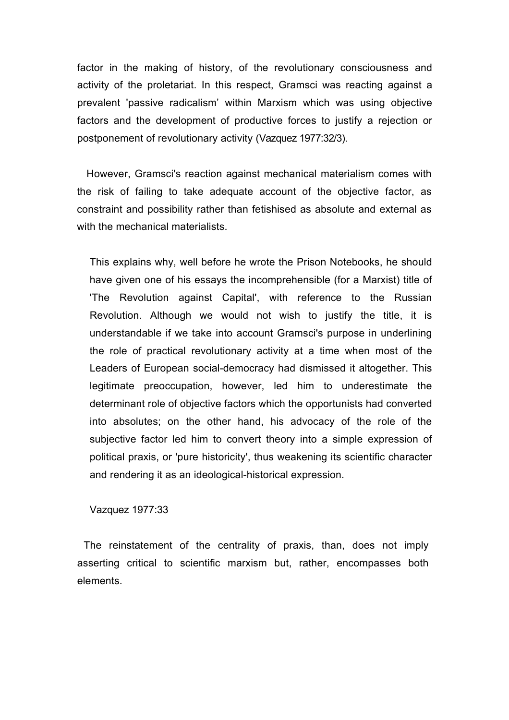factor in the making of history, of the revolutionary consciousness and activity of the proletariat. In this respect, Gramsci was reacting against a prevalent 'passive radicalism' within Marxism which was using objective factors and the development of productive forces to justify a rejection or postponement of revolutionary activity (Vazquez 1977:32/3).

However, Gramsci's reaction against mechanical materialism comes with the risk of failing to take adequate account of the objective factor, as constraint and possibility rather than fetishised as absolute and external as with the mechanical materialists.

This explains why, well before he wrote the Prison Notebooks, he should have given one of his essays the incomprehensible (for a Marxist) title of 'The Revolution against Capital', with reference to the Russian Revolution. Although we would not wish to justify the title, it is understandable if we take into account Gramsci's purpose in underlining the role of practical revolutionary activity at a time when most of the Leaders of European social-democracy had dismissed it altogether. This legitimate preoccupation, however, led him to underestimate the determinant role of objective factors which the opportunists had converted into absolutes; on the other hand, his advocacy of the role of the subjective factor led him to convert theory into a simple expression of political praxis, or 'pure historicity', thus weakening its scientific character and rendering it as an ideological-historical expression.

# Vazquez 1977:33

The reinstatement of the centrality of praxis, than, does not imply asserting critical to scientific marxism but, rather, encompasses both elements.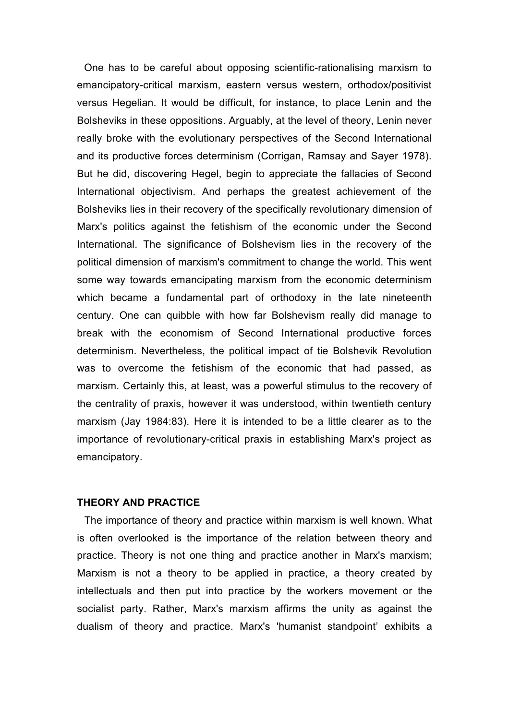One has to be careful about opposing scientific-rationalising marxism to emancipatory-critical marxism, eastern versus western, orthodox/positivist versus Hegelian. It would be difficult, for instance, to place Lenin and the Bolsheviks in these oppositions. Arguably, at the level of theory, Lenin never really broke with the evolutionary perspectives of the Second International and its productive forces determinism (Corrigan, Ramsay and Sayer 1978). But he did, discovering Hegel, begin to appreciate the fallacies of Second International objectivism. And perhaps the greatest achievement of the Bolsheviks lies in their recovery of the specifically revolutionary dimension of Marx's politics against the fetishism of the economic under the Second International. The significance of Bolshevism lies in the recovery of the political dimension of marxism's commitment to change the world. This went some way towards emancipating marxism from the economic determinism which became a fundamental part of orthodoxy in the late nineteenth century. One can quibble with how far Bolshevism really did manage to break with the economism of Second International productive forces determinism. Nevertheless, the political impact of tie Bolshevik Revolution was to overcome the fetishism of the economic that had passed, as marxism. Certainly this, at least, was a powerful stimulus to the recovery of the centrality of praxis, however it was understood, within twentieth century marxism (Jay 1984:83). Here it is intended to be a little clearer as to the importance of revolutionary-critical praxis in establishing Marx's project as emancipatory.

# **THEORY AND PRACTICE**

The importance of theory and practice within marxism is well known. What is often overlooked is the importance of the relation between theory and practice. Theory is not one thing and practice another in Marx's marxism; Marxism is not a theory to be applied in practice, a theory created by intellectuals and then put into practice by the workers movement or the socialist party. Rather, Marx's marxism affirms the unity as against the dualism of theory and practice. Marx's 'humanist standpoint' exhibits a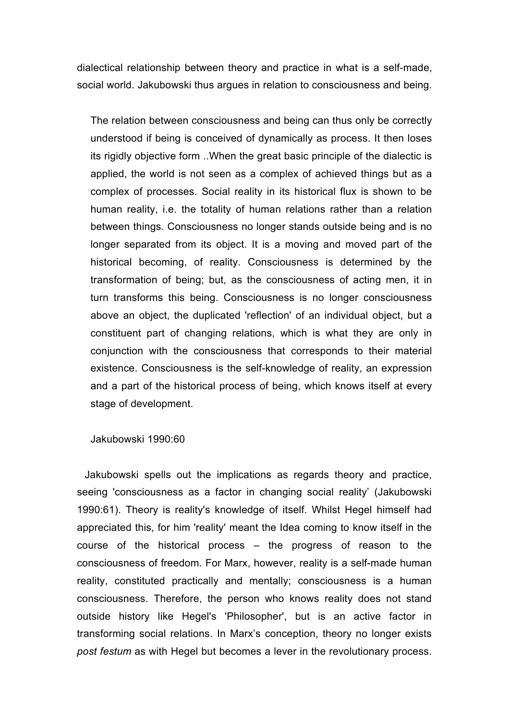dialectical relationship between theory and practice in what is a self-made, social world. Jakubowski thus argues in relation to consciousness and being.

The relation between consciousness and being can thus only be correctly understood if being is conceived of dynamically as process. It then loses its rigidly objective form ..When the great basic principle of the dialectic is applied, the world is not seen as a complex of achieved things but as a complex of processes. Social reality in its historical flux is shown to be human reality, i.e. the totality of human relations rather than a relation between things. Consciousness no longer stands outside being and is no longer separated from its object. It is a moving and moved part of the historical becoming, of reality. Consciousness is determined by the transformation of being; but, as the consciousness of acting men, it in turn transforms this being. Consciousness is no longer consciousness above an object, the duplicated 'reflection' of an individual object, but a constituent part of changing relations, which is what they are only in conjunction with the consciousness that corresponds to their material existence. Consciousness is the self-knowledge of reality, an expression and a part of the historical process of being, which knows itself at every stage of development.

Jakubowski 1990:60

Jakubowski spells out the implications as regards theory and practice, seeing 'consciousness as a factor in changing social reality' (Jakubowski 1990:61). Theory is reality's knowledge of itself. Whilst Hegel himself had appreciated this, for him 'reality' meant the Idea coming to know itself in the course of the historical process – the progress of reason to the consciousness of freedom. For Marx, however, reality is a self-made human reality, constituted practically and mentally; consciousness is a human consciousness. Therefore, the person who knows reality does not stand outside history like Hegel's 'Philosopher', but is an active factor in transforming social relations. In Marx's conception, theory no longer exists *post festum* as with Hegel but becomes a lever in the revolutionary process.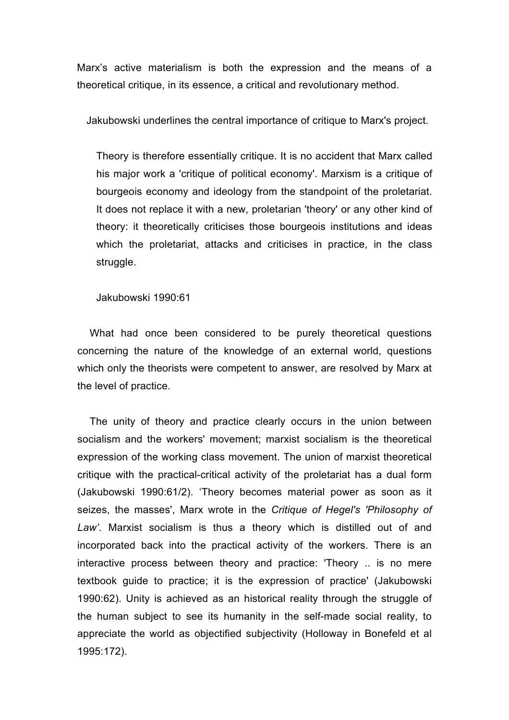Marx's active materialism is both the expression and the means of a theoretical critique, in its essence, a critical and revolutionary method.

Jakubowski underlines the central importance of critique to Marx's project.

Theory is therefore essentially critique. It is no accident that Marx called his major work a 'critique of political economy'. Marxism is a critique of bourgeois economy and ideology from the standpoint of the proletariat. It does not replace it with a new, proletarian 'theory' or any other kind of theory: it theoretically criticises those bourgeois institutions and ideas which the proletariat, attacks and criticises in practice, in the class struggle.

Jakubowski 1990:61

What had once been considered to be purely theoretical questions concerning the nature of the knowledge of an external world, questions which only the theorists were competent to answer, are resolved by Marx at the level of practice.

The unity of theory and practice clearly occurs in the union between socialism and the workers' movement; marxist socialism is the theoretical expression of the working class movement. The union of marxist theoretical critique with the practical-critical activity of the proletariat has a dual form (Jakubowski 1990:61/2). 'Theory becomes material power as soon as it seizes, the masses', Marx wrote in the *Critique of Hegel's 'Philosophy of Law'*. Marxist socialism is thus a theory which is distilled out of and incorporated back into the practical activity of the workers. There is an interactive process between theory and practice: 'Theory .. is no mere textbook guide to practice; it is the expression of practice' (Jakubowski 1990:62). Unity is achieved as an historical reality through the struggle of the human subject to see its humanity in the self-made social reality, to appreciate the world as objectified subjectivity (Holloway in Bonefeld et al 1995:172).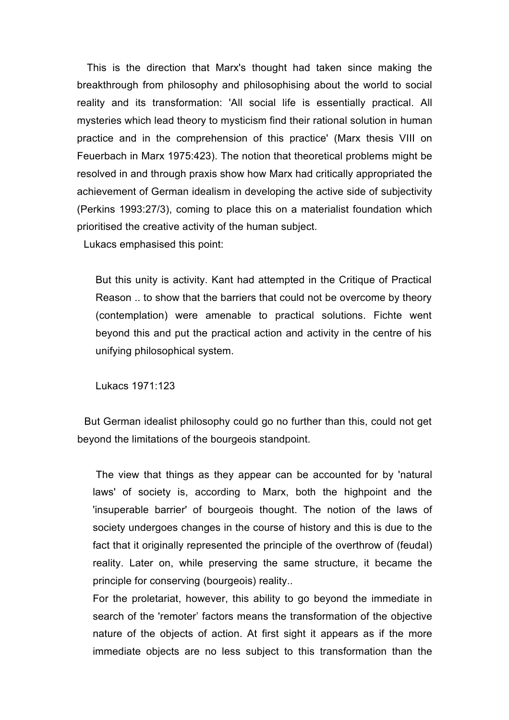This is the direction that Marx's thought had taken since making the breakthrough from philosophy and philosophising about the world to social reality and its transformation: 'All social life is essentially practical. All mysteries which lead theory to mysticism find their rational solution in human practice and in the comprehension of this practice' (Marx thesis VIII on Feuerbach in Marx 1975:423). The notion that theoretical problems might be resolved in and through praxis show how Marx had critically appropriated the achievement of German idealism in developing the active side of subjectivity (Perkins 1993:27/3), coming to place this on a materialist foundation which prioritised the creative activity of the human subject.

Lukacs emphasised this point:

But this unity is activity. Kant had attempted in the Critique of Practical Reason .. to show that the barriers that could not be overcome by theory (contemplation) were amenable to practical solutions. Fichte went beyond this and put the practical action and activity in the centre of his unifying philosophical system.

Lukacs 1971:123

But German idealist philosophy could go no further than this, could not get beyond the limitations of the bourgeois standpoint.

The view that things as they appear can be accounted for by 'natural laws' of society is, according to Marx, both the highpoint and the 'insuperable barrier' of bourgeois thought. The notion of the laws of society undergoes changes in the course of history and this is due to the fact that it originally represented the principle of the overthrow of (feudal) reality. Later on, while preserving the same structure, it became the principle for conserving (bourgeois) reality..

For the proletariat, however, this ability to go beyond the immediate in search of the 'remoter' factors means the transformation of the objective nature of the objects of action. At first sight it appears as if the more immediate objects are no less subject to this transformation than the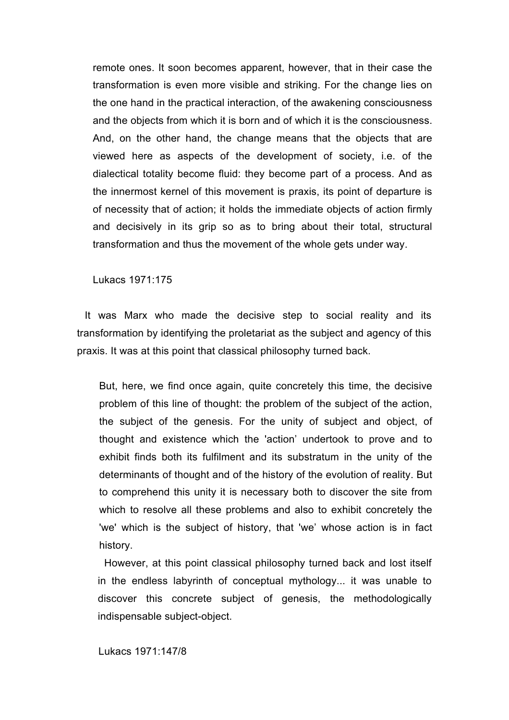remote ones. It soon becomes apparent, however, that in their case the transformation is even more visible and striking. For the change lies on the one hand in the practical interaction, of the awakening consciousness and the objects from which it is born and of which it is the consciousness. And, on the other hand, the change means that the objects that are viewed here as aspects of the development of society, i.e. of the dialectical totality become fluid: they become part of a process. And as the innermost kernel of this movement is praxis, its point of departure is of necessity that of action; it holds the immediate objects of action firmly and decisively in its grip so as to bring about their total, structural transformation and thus the movement of the whole gets under way.

Lukacs 1971:175

It was Marx who made the decisive step to social reality and its transformation by identifying the proletariat as the subject and agency of this praxis. It was at this point that classical philosophy turned back.

But, here, we find once again, quite concretely this time, the decisive problem of this line of thought: the problem of the subject of the action, the subject of the genesis. For the unity of subject and object, of thought and existence which the 'action' undertook to prove and to exhibit finds both its fulfilment and its substratum in the unity of the determinants of thought and of the history of the evolution of reality. But to comprehend this unity it is necessary both to discover the site from which to resolve all these problems and also to exhibit concretely the 'we' which is the subject of history, that 'we' whose action is in fact history.

However, at this point classical philosophy turned back and lost itself in the endless labyrinth of conceptual mythology... it was unable to discover this concrete subject of genesis, the methodologically indispensable subject-object.

Lukacs 1971:147/8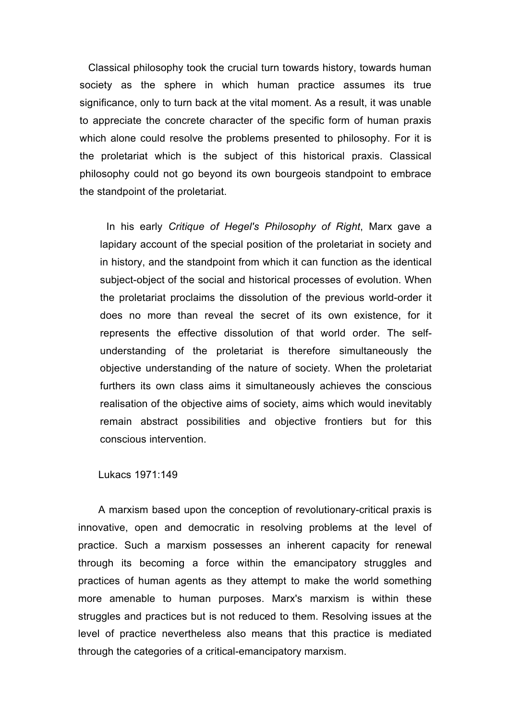Classical philosophy took the crucial turn towards history, towards human society as the sphere in which human practice assumes its true significance, only to turn back at the vital moment. As a result, it was unable to appreciate the concrete character of the specific form of human praxis which alone could resolve the problems presented to philosophy. For it is the proletariat which is the subject of this historical praxis. Classical philosophy could not go beyond its own bourgeois standpoint to embrace the standpoint of the proletariat.

In his early *Critique of Hegel's Philosophy of Right*, Marx gave a lapidary account of the special position of the proletariat in society and in history, and the standpoint from which it can function as the identical subject-object of the social and historical processes of evolution. When the proletariat proclaims the dissolution of the previous world-order it does no more than reveal the secret of its own existence, for it represents the effective dissolution of that world order. The selfunderstanding of the proletariat is therefore simultaneously the objective understanding of the nature of society. When the proletariat furthers its own class aims it simultaneously achieves the conscious realisation of the objective aims of society, aims which would inevitably remain abstract possibilities and objective frontiers but for this conscious intervention.

Lukacs 1971:149

A marxism based upon the conception of revolutionary-critical praxis is innovative, open and democratic in resolving problems at the level of practice. Such a marxism possesses an inherent capacity for renewal through its becoming a force within the emancipatory struggles and practices of human agents as they attempt to make the world something more amenable to human purposes. Marx's marxism is within these struggles and practices but is not reduced to them. Resolving issues at the level of practice nevertheless also means that this practice is mediated through the categories of a critical-emancipatory marxism.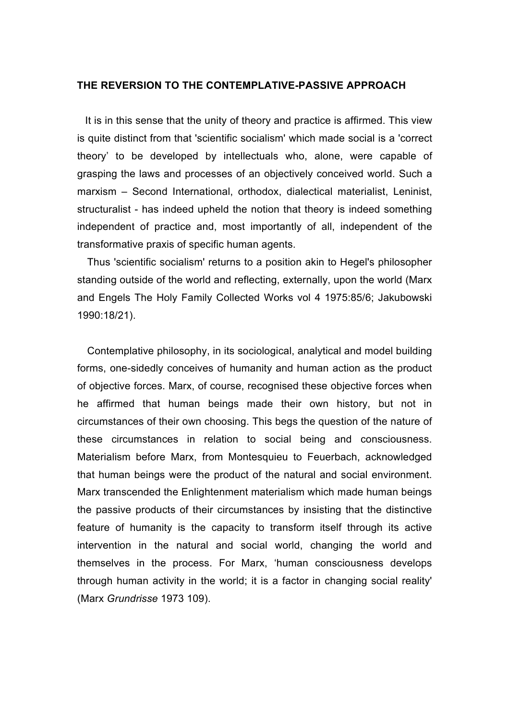#### **THE REVERSION TO THE CONTEMPLATIVE-PASSIVE APPROACH**

It is in this sense that the unity of theory and practice is affirmed. This view is quite distinct from that 'scientific socialism' which made social is a 'correct theory' to be developed by intellectuals who, alone, were capable of grasping the laws and processes of an objectively conceived world. Such a marxism – Second International, orthodox, dialectical materialist, Leninist, structuralist - has indeed upheld the notion that theory is indeed something independent of practice and, most importantly of all, independent of the transformative praxis of specific human agents.

Thus 'scientific socialism' returns to a position akin to Hegel's philosopher standing outside of the world and reflecting, externally, upon the world (Marx and Engels The Holy Family Collected Works vol 4 1975:85/6; Jakubowski 1990:18/21).

Contemplative philosophy, in its sociological, analytical and model building forms, one-sidedly conceives of humanity and human action as the product of objective forces. Marx, of course, recognised these objective forces when he affirmed that human beings made their own history, but not in circumstances of their own choosing. This begs the question of the nature of these circumstances in relation to social being and consciousness. Materialism before Marx, from Montesquieu to Feuerbach, acknowledged that human beings were the product of the natural and social environment. Marx transcended the Enlightenment materialism which made human beings the passive products of their circumstances by insisting that the distinctive feature of humanity is the capacity to transform itself through its active intervention in the natural and social world, changing the world and themselves in the process. For Marx, 'human consciousness develops through human activity in the world; it is a factor in changing social reality' (Marx *Grundrisse* 1973 109).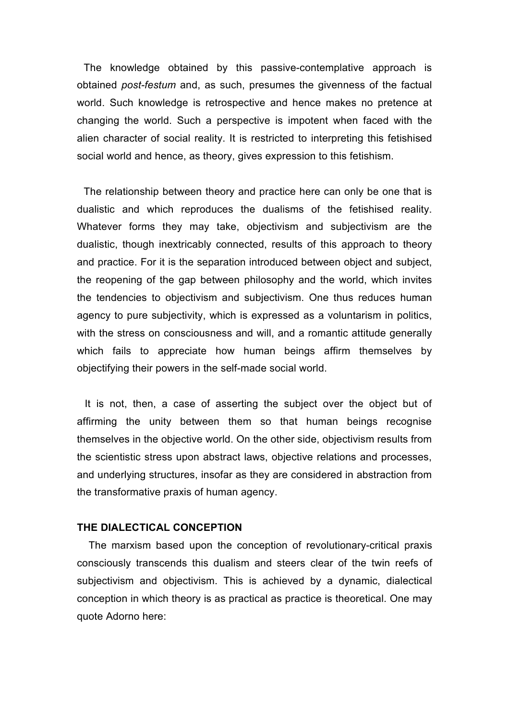The knowledge obtained by this passive-contemplative approach is obtained *post-festum* and, as such, presumes the givenness of the factual world. Such knowledge is retrospective and hence makes no pretence at changing the world. Such a perspective is impotent when faced with the alien character of social reality. It is restricted to interpreting this fetishised social world and hence, as theory, gives expression to this fetishism.

The relationship between theory and practice here can only be one that is dualistic and which reproduces the dualisms of the fetishised reality. Whatever forms they may take, objectivism and subjectivism are the dualistic, though inextricably connected, results of this approach to theory and practice. For it is the separation introduced between object and subject, the reopening of the gap between philosophy and the world, which invites the tendencies to objectivism and subjectivism. One thus reduces human agency to pure subjectivity, which is expressed as a voluntarism in politics, with the stress on consciousness and will, and a romantic attitude generally which fails to appreciate how human beings affirm themselves by objectifying their powers in the self-made social world.

It is not, then, a case of asserting the subject over the object but of affirming the unity between them so that human beings recognise themselves in the objective world. On the other side, objectivism results from the scientistic stress upon abstract laws, objective relations and processes, and underlying structures, insofar as they are considered in abstraction from the transformative praxis of human agency.

# **THE DIALECTICAL CONCEPTION**

The marxism based upon the conception of revolutionary-critical praxis consciously transcends this dualism and steers clear of the twin reefs of subjectivism and objectivism. This is achieved by a dynamic, dialectical conception in which theory is as practical as practice is theoretical. One may quote Adorno here: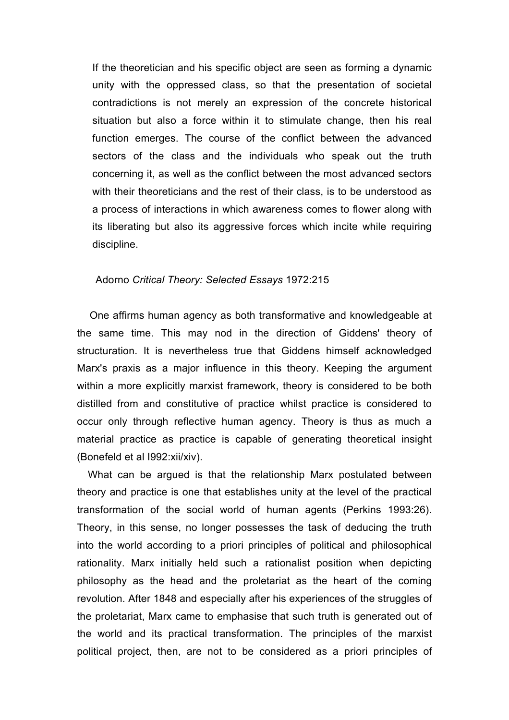If the theoretician and his specific object are seen as forming a dynamic unity with the oppressed class, so that the presentation of societal contradictions is not merely an expression of the concrete historical situation but also a force within it to stimulate change, then his real function emerges. The course of the conflict between the advanced sectors of the class and the individuals who speak out the truth concerning it, as well as the conflict between the most advanced sectors with their theoreticians and the rest of their class, is to be understood as a process of interactions in which awareness comes to flower along with its liberating but also its aggressive forces which incite while requiring discipline.

# Adorno *Critical Theory: Selected Essays* 1972:215

One affirms human agency as both transformative and knowledgeable at the same time. This may nod in the direction of Giddens' theory of structuration. It is nevertheless true that Giddens himself acknowledged Marx's praxis as a major influence in this theory. Keeping the argument within a more explicitly marxist framework, theory is considered to be both distilled from and constitutive of practice whilst practice is considered to occur only through reflective human agency. Theory is thus as much a material practice as practice is capable of generating theoretical insight (Bonefeld et al I992:xii/xiv).

What can be argued is that the relationship Marx postulated between theory and practice is one that establishes unity at the level of the practical transformation of the social world of human agents (Perkins 1993:26). Theory, in this sense, no longer possesses the task of deducing the truth into the world according to a priori principles of political and philosophical rationality. Marx initially held such a rationalist position when depicting philosophy as the head and the proletariat as the heart of the coming revolution. After 1848 and especially after his experiences of the struggles of the proletariat, Marx came to emphasise that such truth is generated out of the world and its practical transformation. The principles of the marxist political project, then, are not to be considered as a priori principles of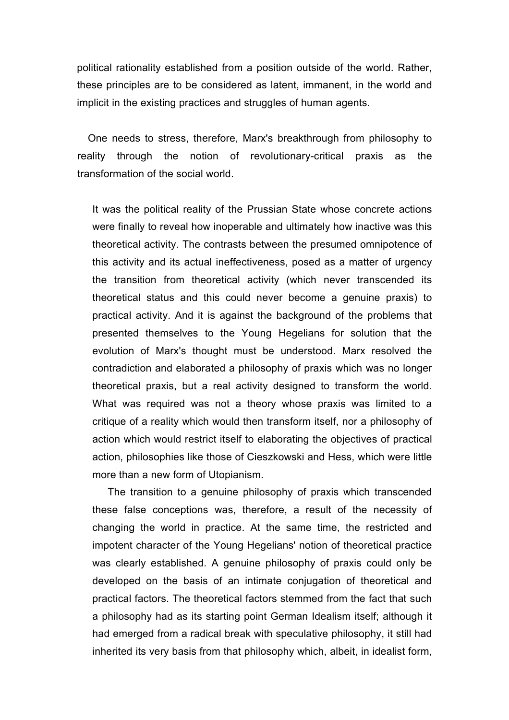political rationality established from a position outside of the world. Rather, these principles are to be considered as latent, immanent, in the world and implicit in the existing practices and struggles of human agents.

One needs to stress, therefore, Marx's breakthrough from philosophy to reality through the notion of revolutionary-critical praxis as the transformation of the social world.

It was the political reality of the Prussian State whose concrete actions were finally to reveal how inoperable and ultimately how inactive was this theoretical activity. The contrasts between the presumed omnipotence of this activity and its actual ineffectiveness, posed as a matter of urgency the transition from theoretical activity (which never transcended its theoretical status and this could never become a genuine praxis) to practical activity. And it is against the background of the problems that presented themselves to the Young Hegelians for solution that the evolution of Marx's thought must be understood. Marx resolved the contradiction and elaborated a philosophy of praxis which was no longer theoretical praxis, but a real activity designed to transform the world. What was required was not a theory whose praxis was limited to a critique of a reality which would then transform itself, nor a philosophy of action which would restrict itself to elaborating the objectives of practical action, philosophies like those of Cieszkowski and Hess, which were little more than a new form of Utopianism.

The transition to a genuine philosophy of praxis which transcended these false conceptions was, therefore, a result of the necessity of changing the world in practice. At the same time, the restricted and impotent character of the Young Hegelians' notion of theoretical practice was clearly established. A genuine philosophy of praxis could only be developed on the basis of an intimate conjugation of theoretical and practical factors. The theoretical factors stemmed from the fact that such a philosophy had as its starting point German Idealism itself; although it had emerged from a radical break with speculative philosophy, it still had inherited its very basis from that philosophy which, albeit, in idealist form,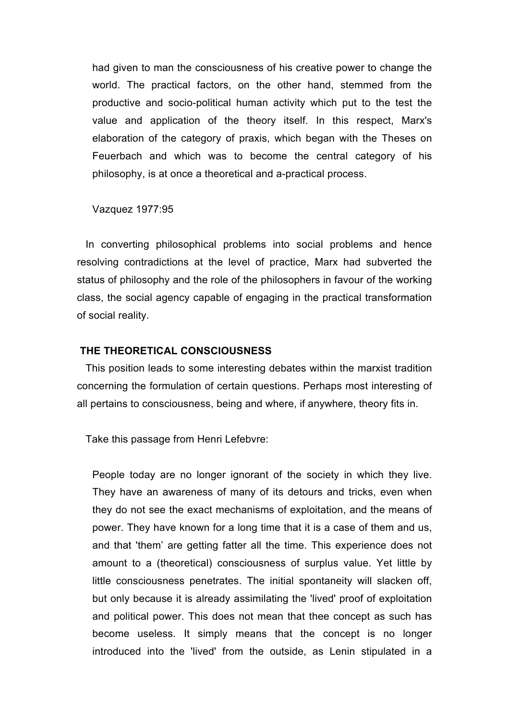had given to man the consciousness of his creative power to change the world. The practical factors, on the other hand, stemmed from the productive and socio-political human activity which put to the test the value and application of the theory itself. In this respect, Marx's elaboration of the category of praxis, which began with the Theses on Feuerbach and which was to become the central category of his philosophy, is at once a theoretical and a-practical process.

Vazquez 1977:95

In converting philosophical problems into social problems and hence resolving contradictions at the level of practice, Marx had subverted the status of philosophy and the role of the philosophers in favour of the working class, the social agency capable of engaging in the practical transformation of social reality.

# **THE THEORETICAL CONSCIOUSNESS**

This position leads to some interesting debates within the marxist tradition concerning the formulation of certain questions. Perhaps most interesting of all pertains to consciousness, being and where, if anywhere, theory fits in.

Take this passage from Henri Lefebvre:

People today are no longer ignorant of the society in which they live. They have an awareness of many of its detours and tricks, even when they do not see the exact mechanisms of exploitation, and the means of power. They have known for a long time that it is a case of them and us, and that 'them' are getting fatter all the time. This experience does not amount to a (theoretical) consciousness of surplus value. Yet little by little consciousness penetrates. The initial spontaneity will slacken off, but only because it is already assimilating the 'lived' proof of exploitation and political power. This does not mean that thee concept as such has become useless. It simply means that the concept is no longer introduced into the 'lived' from the outside, as Lenin stipulated in a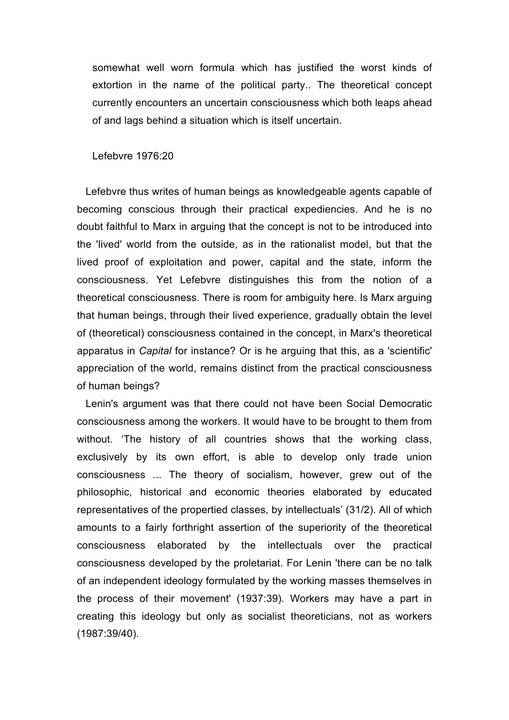somewhat well worn formula which has justified the worst kinds of extortion in the name of the political party.. The theoretical concept currently encounters an uncertain consciousness which both leaps ahead of and lags behind a situation which is itself uncertain.

## Lefebvre 1976:20

Lefebvre thus writes of human beings as knowledgeable agents capable of becoming conscious through their practical expediencies. And he is no doubt faithful to Marx in arguing that the concept is not to be introduced into the 'lived' world from the outside, as in the rationalist model, but that the lived proof of exploitation and power, capital and the state, inform the consciousness. Yet Lefebvre distinguishes this from the notion of a theoretical consciousness. There is room for ambiguity here. Is Marx arguing that human beings, through their lived experience, gradually obtain the level of (theoretical) consciousness contained in the concept, in Marx's theoretical apparatus in *Capital* for instance? Or is he arguing that this, as a 'scientific' appreciation of the world, remains distinct from the practical consciousness of human beings?

Lenin's argument was that there could not have been Social Democratic consciousness among the workers. It would have to be brought to them from without. 'The history of all countries shows that the working class, exclusively by its own effort, is able to develop only trade union consciousness ... The theory of socialism, however, grew out of the philosophic, historical and economic theories elaborated by educated representatives of the propertied classes, by intellectuals' (31/2). All of which amounts to a fairly forthright assertion of the superiority of the theoretical consciousness elaborated by the intellectuals over the practical consciousness developed by the proletariat. For Lenin 'there can be no talk of an independent ideology formulated by the working masses themselves in the process of their movement' (1937:39). Workers may have a part in creating this ideology but only as socialist theoreticians, not as workers (1987:39/40).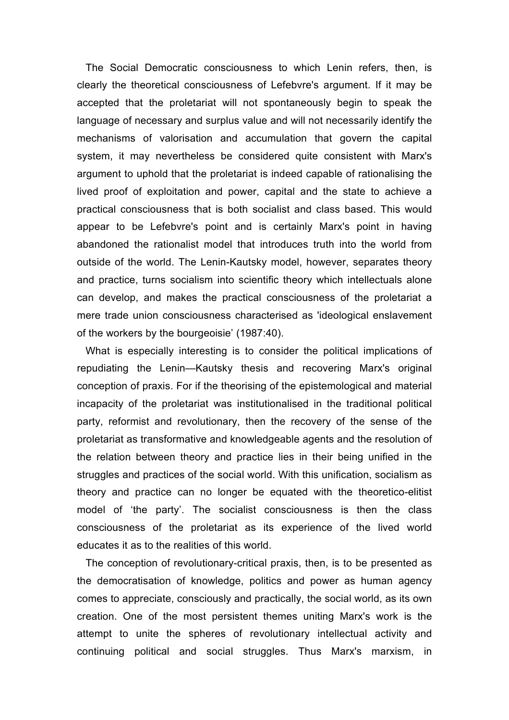The Social Democratic consciousness to which Lenin refers, then, is clearly the theoretical consciousness of Lefebvre's argument. If it may be accepted that the proletariat will not spontaneously begin to speak the language of necessary and surplus value and will not necessarily identify the mechanisms of valorisation and accumulation that govern the capital system, it may nevertheless be considered quite consistent with Marx's argument to uphold that the proletariat is indeed capable of rationalising the lived proof of exploitation and power, capital and the state to achieve a practical consciousness that is both socialist and class based. This would appear to be Lefebvre's point and is certainly Marx's point in having abandoned the rationalist model that introduces truth into the world from outside of the world. The Lenin-Kautsky model, however, separates theory and practice, turns socialism into scientific theory which intellectuals alone can develop, and makes the practical consciousness of the proletariat a mere trade union consciousness characterised as 'ideological enslavement of the workers by the bourgeoisie' (1987:40).

What is especially interesting is to consider the political implications of repudiating the Lenin—Kautsky thesis and recovering Marx's original conception of praxis. For if the theorising of the epistemological and material incapacity of the proletariat was institutionalised in the traditional political party, reformist and revolutionary, then the recovery of the sense of the proletariat as transformative and knowledgeable agents and the resolution of the relation between theory and practice lies in their being unified in the struggles and practices of the social world. With this unification, socialism as theory and practice can no longer be equated with the theoretico-elitist model of 'the party'. The socialist consciousness is then the class consciousness of the proletariat as its experience of the lived world educates it as to the realities of this world.

The conception of revolutionary-critical praxis, then, is to be presented as the democratisation of knowledge, politics and power as human agency comes to appreciate, consciously and practically, the social world, as its own creation. One of the most persistent themes uniting Marx's work is the attempt to unite the spheres of revolutionary intellectual activity and continuing political and social struggles. Thus Marx's marxism, in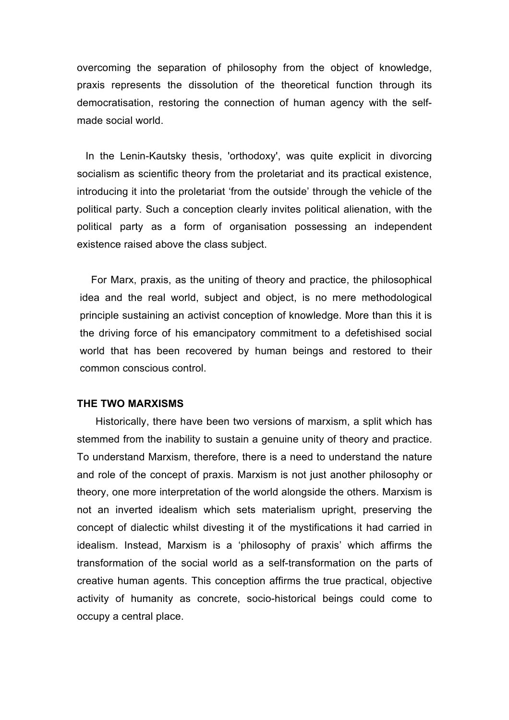overcoming the separation of philosophy from the object of knowledge, praxis represents the dissolution of the theoretical function through its democratisation, restoring the connection of human agency with the selfmade social world.

In the Lenin-Kautsky thesis, 'orthodoxy', was quite explicit in divorcing socialism as scientific theory from the proletariat and its practical existence, introducing it into the proletariat 'from the outside' through the vehicle of the political party. Such a conception clearly invites political alienation, with the political party as a form of organisation possessing an independent existence raised above the class subject.

For Marx, praxis, as the uniting of theory and practice, the philosophical idea and the real world, subject and object, is no mere methodological principle sustaining an activist conception of knowledge. More than this it is the driving force of his emancipatory commitment to a defetishised social world that has been recovered by human beings and restored to their common conscious control.

#### **THE TWO MARXISMS**

Historically, there have been two versions of marxism, a split which has stemmed from the inability to sustain a genuine unity of theory and practice. To understand Marxism, therefore, there is a need to understand the nature and role of the concept of praxis. Marxism is not just another philosophy or theory, one more interpretation of the world alongside the others. Marxism is not an inverted idealism which sets materialism upright, preserving the concept of dialectic whilst divesting it of the mystifications it had carried in idealism. Instead, Marxism is a 'philosophy of praxis' which affirms the transformation of the social world as a self-transformation on the parts of creative human agents. This conception affirms the true practical, objective activity of humanity as concrete, socio-historical beings could come to occupy a central place.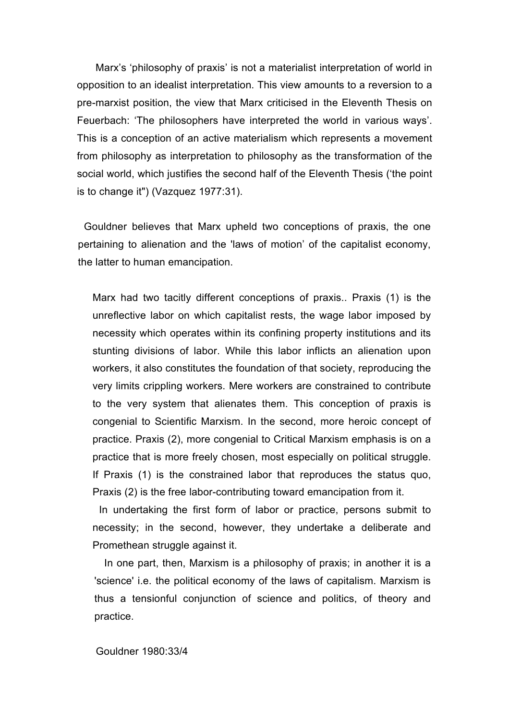Marx's 'philosophy of praxis' is not a materialist interpretation of world in opposition to an idealist interpretation. This view amounts to a reversion to a pre-marxist position, the view that Marx criticised in the Eleventh Thesis on Feuerbach: 'The philosophers have interpreted the world in various ways'. This is a conception of an active materialism which represents a movement from philosophy as interpretation to philosophy as the transformation of the social world, which justifies the second half of the Eleventh Thesis ('the point is to change it") (Vazquez 1977:31).

Gouldner believes that Marx upheld two conceptions of praxis, the one pertaining to alienation and the 'laws of motion' of the capitalist economy, the latter to human emancipation.

Marx had two tacitly different conceptions of praxis.. Praxis (1) is the unreflective labor on which capitalist rests, the wage labor imposed by necessity which operates within its confining property institutions and its stunting divisions of labor. While this labor inflicts an alienation upon workers, it also constitutes the foundation of that society, reproducing the very limits crippling workers. Mere workers are constrained to contribute to the very system that alienates them. This conception of praxis is congenial to Scientific Marxism. In the second, more heroic concept of practice. Praxis (2), more congenial to Critical Marxism emphasis is on a practice that is more freely chosen, most especially on political struggle. If Praxis (1) is the constrained labor that reproduces the status quo, Praxis (2) is the free labor-contributing toward emancipation from it.

 In undertaking the first form of labor or practice, persons submit to necessity; in the second, however, they undertake a deliberate and Promethean struggle against it.

In one part, then, Marxism is a philosophy of praxis; in another it is a 'science' i.e. the political economy of the laws of capitalism. Marxism is thus a tensionful conjunction of science and politics, of theory and practice.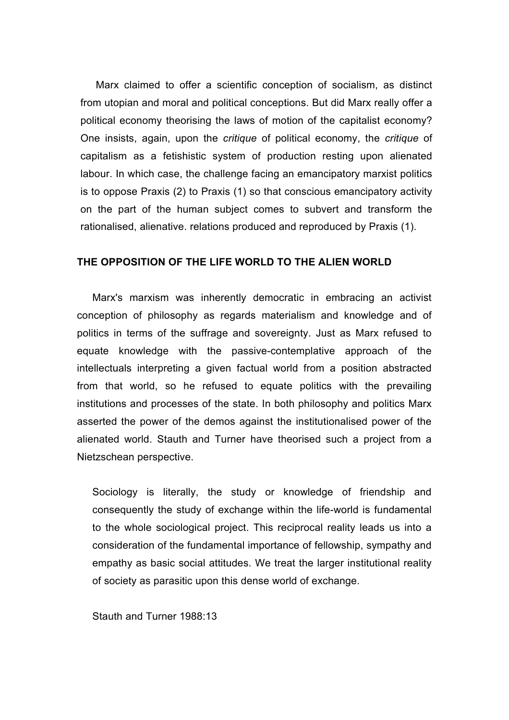Marx claimed to offer a scientific conception of socialism, as distinct from utopian and moral and political conceptions. But did Marx really offer a political economy theorising the laws of motion of the capitalist economy? One insists, again, upon the *critique* of political economy, the *critique* of capitalism as a fetishistic system of production resting upon alienated labour. In which case, the challenge facing an emancipatory marxist politics is to oppose Praxis (2) to Praxis (1) so that conscious emancipatory activity on the part of the human subject comes to subvert and transform the rationalised, alienative. relations produced and reproduced by Praxis (1).

# **THE OPPOSITION OF THE LIFE WORLD TO THE ALIEN WORLD**

Marx's marxism was inherently democratic in embracing an activist conception of philosophy as regards materialism and knowledge and of politics in terms of the suffrage and sovereignty. Just as Marx refused to equate knowledge with the passive-contemplative approach of the intellectuals interpreting a given factual world from a position abstracted from that world, so he refused to equate politics with the prevailing institutions and processes of the state. In both philosophy and politics Marx asserted the power of the demos against the institutionalised power of the alienated world. Stauth and Turner have theorised such a project from a Nietzschean perspective.

Sociology is literally, the study or knowledge of friendship and consequently the study of exchange within the life-world is fundamental to the whole sociological project. This reciprocal reality leads us into a consideration of the fundamental importance of fellowship, sympathy and empathy as basic social attitudes. We treat the larger institutional reality of society as parasitic upon this dense world of exchange.

Stauth and Turner 1988:13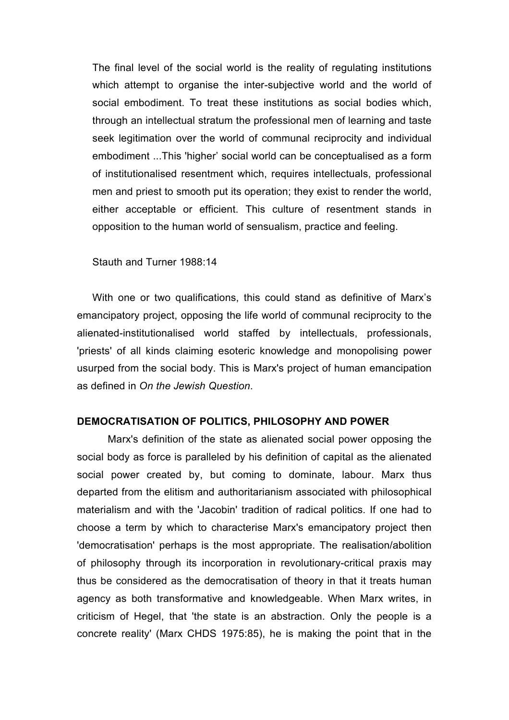The final level of the social world is the reality of regulating institutions which attempt to organise the inter-subjective world and the world of social embodiment. To treat these institutions as social bodies which, through an intellectual stratum the professional men of learning and taste seek legitimation over the world of communal reciprocity and individual embodiment ...This 'higher' social world can be conceptualised as a form of institutionalised resentment which, requires intellectuals, professional men and priest to smooth put its operation; they exist to render the world, either acceptable or efficient. This culture of resentment stands in opposition to the human world of sensualism, practice and feeling.

## Stauth and Turner 1988:14

With one or two qualifications, this could stand as definitive of Marx's emancipatory project, opposing the life world of communal reciprocity to the alienated-institutionalised world staffed by intellectuals, professionals, 'priests' of all kinds claiming esoteric knowledge and monopolising power usurped from the social body. This is Marx's project of human emancipation as defined in *On the Jewish Question*.

# **DEMOCRATISATION OF POLITICS, PHILOSOPHY AND POWER**

Marx's definition of the state as alienated social power opposing the social body as force is paralleled by his definition of capital as the alienated social power created by, but coming to dominate, labour. Marx thus departed from the elitism and authoritarianism associated with philosophical materialism and with the 'Jacobin' tradition of radical politics. If one had to choose a term by which to characterise Marx's emancipatory project then 'democratisation' perhaps is the most appropriate. The realisation/abolition of philosophy through its incorporation in revolutionary-critical praxis may thus be considered as the democratisation of theory in that it treats human agency as both transformative and knowledgeable. When Marx writes, in criticism of Hegel, that 'the state is an abstraction. Only the people is a concrete reality' (Marx CHDS 1975:85), he is making the point that in the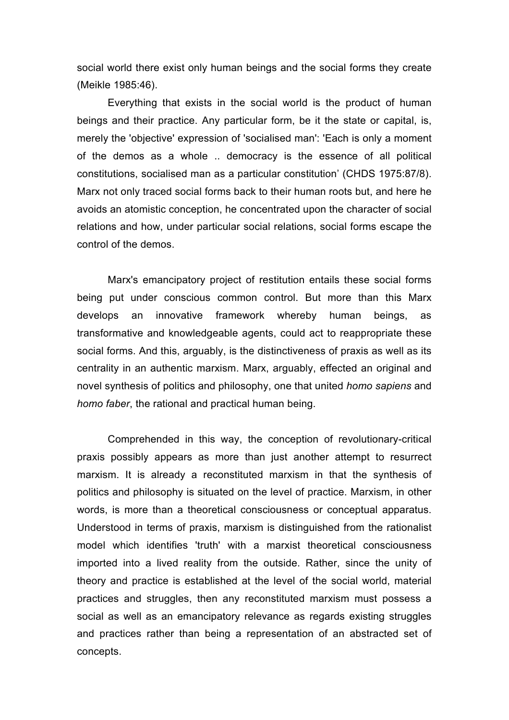social world there exist only human beings and the social forms they create (Meikle 1985:46).

Everything that exists in the social world is the product of human beings and their practice. Any particular form, be it the state or capital, is, merely the 'objective' expression of 'socialised man': 'Each is only a moment of the demos as a whole .. democracy is the essence of all political constitutions, socialised man as a particular constitution' (CHDS 1975:87/8). Marx not only traced social forms back to their human roots but, and here he avoids an atomistic conception, he concentrated upon the character of social relations and how, under particular social relations, social forms escape the control of the demos.

Marx's emancipatory project of restitution entails these social forms being put under conscious common control. But more than this Marx develops an innovative framework whereby human beings, as transformative and knowledgeable agents, could act to reappropriate these social forms. And this, arguably, is the distinctiveness of praxis as well as its centrality in an authentic marxism. Marx, arguably, effected an original and novel synthesis of politics and philosophy, one that united *homo sapiens* and *homo faber*, the rational and practical human being.

Comprehended in this way, the conception of revolutionary-critical praxis possibly appears as more than just another attempt to resurrect marxism. It is already a reconstituted marxism in that the synthesis of politics and philosophy is situated on the level of practice. Marxism, in other words, is more than a theoretical consciousness or conceptual apparatus. Understood in terms of praxis, marxism is distinguished from the rationalist model which identifies 'truth' with a marxist theoretical consciousness imported into a lived reality from the outside. Rather, since the unity of theory and practice is established at the level of the social world, material practices and struggles, then any reconstituted marxism must possess a social as well as an emancipatory relevance as regards existing struggles and practices rather than being a representation of an abstracted set of concepts.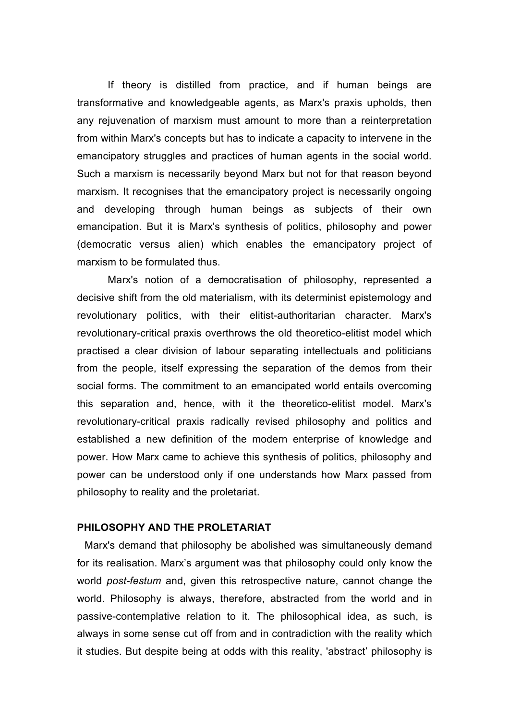If theory is distilled from practice, and if human beings are transformative and knowledgeable agents, as Marx's praxis upholds, then any rejuvenation of marxism must amount to more than a reinterpretation from within Marx's concepts but has to indicate a capacity to intervene in the emancipatory struggles and practices of human agents in the social world. Such a marxism is necessarily beyond Marx but not for that reason beyond marxism. It recognises that the emancipatory project is necessarily ongoing and developing through human beings as subjects of their own emancipation. But it is Marx's synthesis of politics, philosophy and power (democratic versus alien) which enables the emancipatory project of marxism to be formulated thus.

Marx's notion of a democratisation of philosophy, represented a decisive shift from the old materialism, with its determinist epistemology and revolutionary politics, with their elitist-authoritarian character. Marx's revolutionary-critical praxis overthrows the old theoretico-elitist model which practised a clear division of labour separating intellectuals and politicians from the people, itself expressing the separation of the demos from their social forms. The commitment to an emancipated world entails overcoming this separation and, hence, with it the theoretico-elitist model. Marx's revolutionary-critical praxis radically revised philosophy and politics and established a new definition of the modern enterprise of knowledge and power. How Marx came to achieve this synthesis of politics, philosophy and power can be understood only if one understands how Marx passed from philosophy to reality and the proletariat.

# **PHILOSOPHY AND THE PROLETARIAT**

Marx's demand that philosophy be abolished was simultaneously demand for its realisation. Marx's argument was that philosophy could only know the world *post-festum* and, given this retrospective nature, cannot change the world. Philosophy is always, therefore, abstracted from the world and in passive-contemplative relation to it. The philosophical idea, as such, is always in some sense cut off from and in contradiction with the reality which it studies. But despite being at odds with this reality, 'abstract' philosophy is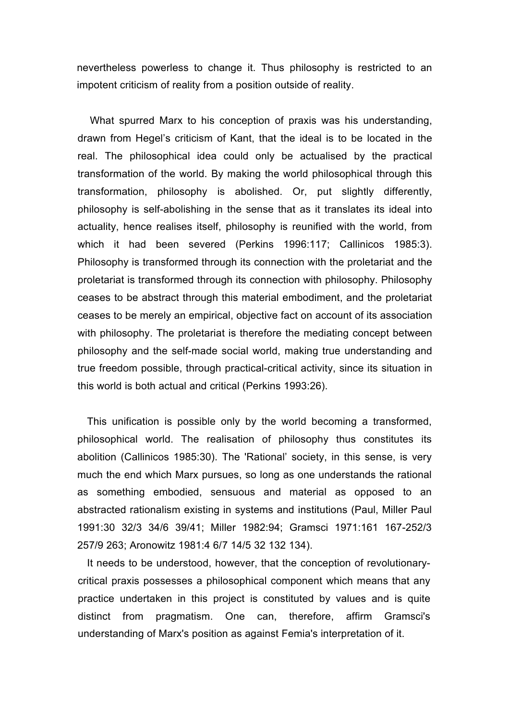nevertheless powerless to change it. Thus philosophy is restricted to an impotent criticism of reality from a position outside of reality.

What spurred Marx to his conception of praxis was his understanding, drawn from Hegel's criticism of Kant, that the ideal is to be located in the real. The philosophical idea could only be actualised by the practical transformation of the world. By making the world philosophical through this transformation, philosophy is abolished. Or, put slightly differently, philosophy is self-abolishing in the sense that as it translates its ideal into actuality, hence realises itself, philosophy is reunified with the world, from which it had been severed (Perkins 1996:117; Callinicos 1985:3). Philosophy is transformed through its connection with the proletariat and the proletariat is transformed through its connection with philosophy. Philosophy ceases to be abstract through this material embodiment, and the proletariat ceases to be merely an empirical, objective fact on account of its association with philosophy. The proletariat is therefore the mediating concept between philosophy and the self-made social world, making true understanding and true freedom possible, through practical-critical activity, since its situation in this world is both actual and critical (Perkins 1993:26).

This unification is possible only by the world becoming a transformed, philosophical world. The realisation of philosophy thus constitutes its abolition (Callinicos 1985:30). The 'Rational' society, in this sense, is very much the end which Marx pursues, so long as one understands the rational as something embodied, sensuous and material as opposed to an abstracted rationalism existing in systems and institutions (Paul, Miller Paul 1991:30 32/3 34/6 39/41; Miller 1982:94; Gramsci 1971:161 167-252/3 257/9 263; Aronowitz 1981:4 6/7 14/5 32 132 134).

It needs to be understood, however, that the conception of revolutionarycritical praxis possesses a philosophical component which means that any practice undertaken in this project is constituted by values and is quite distinct from pragmatism. One can, therefore, affirm Gramsci's understanding of Marx's position as against Femia's interpretation of it.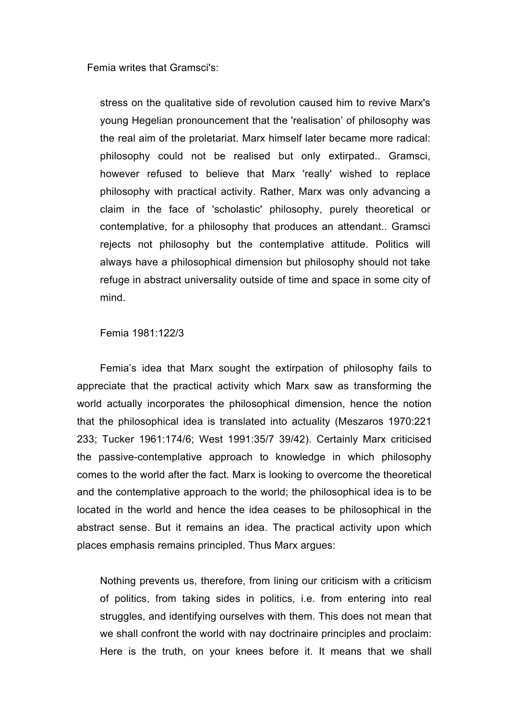Femia writes that Gramsci's:

stress on the qualitative side of revolution caused him to revive Marx's young Hegelian pronouncement that the 'realisation' of philosophy was the real aim of the proletariat. Marx himself later became more radical: philosophy could not be realised but only extirpated.. Gramsci, however refused to believe that Marx 'really' wished to replace philosophy with practical activity. Rather, Marx was only advancing a claim in the face of 'scholastic' philosophy, purely theoretical or contemplative, for a philosophy that produces an attendant.. Gramsci rejects not philosophy but the contemplative attitude. Politics will always have a philosophical dimension but philosophy should not take refuge in abstract universality outside of time and space in some city of mind.

Femia 1981:122/3

Femia's idea that Marx sought the extirpation of philosophy fails to appreciate that the practical activity which Marx saw as transforming the world actually incorporates the philosophical dimension, hence the notion that the philosophical idea is translated into actuality (Meszaros 1970:221 233; Tucker 1961:174/6; West 1991:35/7 39/42). Certainly Marx criticised the passive-contemplative approach to knowledge in which philosophy comes to the world after the fact. Marx is looking to overcome the theoretical and the contemplative approach to the world; the philosophical idea is to be located in the world and hence the idea ceases to be philosophical in the abstract sense. But it remains an idea. The practical activity upon which places emphasis remains principled. Thus Marx argues:

Nothing prevents us, therefore, from lining our criticism with a criticism of politics, from taking sides in politics, i.e. from entering into real struggles, and identifying ourselves with them. This does not mean that we shall confront the world with nay doctrinaire principles and proclaim: Here is the truth, on your knees before it. It means that we shall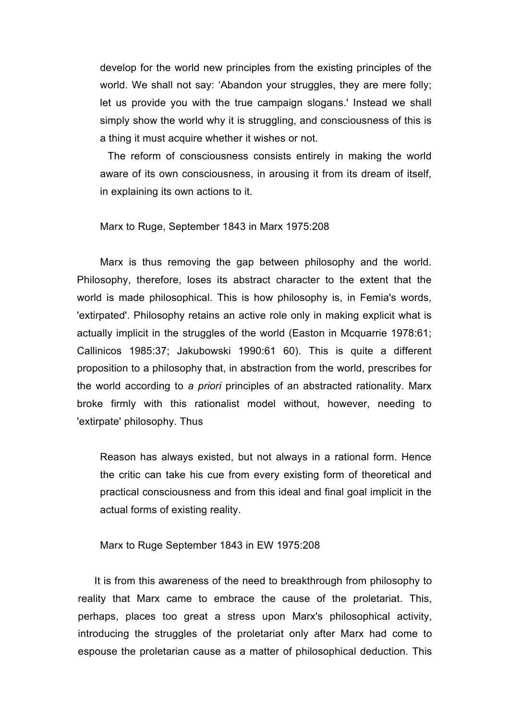develop for the world new principles from the existing principles of the world. We shall not say: 'Abandon your struggles, they are mere folly; let us provide you with the true campaign slogans.' Instead we shall simply show the world why it is struggling, and consciousness of this is a thing it must acquire whether it wishes or not.

The reform of consciousness consists entirely in making the world aware of its own consciousness, in arousing it from its dream of itself, in explaining its own actions to it.

Marx to Ruge, September 1843 in Marx 1975:208

Marx is thus removing the gap between philosophy and the world. Philosophy, therefore, loses its abstract character to the extent that the world is made philosophical. This is how philosophy is, in Femia's words, 'extirpated'. Philosophy retains an active role only in making explicit what is actually implicit in the struggles of the world (Easton in Mcquarrie 1978:61; Callinicos 1985:37; Jakubowski 1990:61 60). This is quite a different proposition to a philosophy that, in abstraction from the world, prescribes for the world according to *a priori* principles of an abstracted rationality. Marx broke firmly with this rationalist model without, however, needing to 'extirpate' philosophy. Thus

Reason has always existed, but not always in a rational form. Hence the critic can take his cue from every existing form of theoretical and practical consciousness and from this ideal and final goal implicit in the actual forms of existing reality.

Marx to Ruge September 1843 in EW 1975:208

It is from this awareness of the need to breakthrough from philosophy to reality that Marx came to embrace the cause of the proletariat. This, perhaps, places too great a stress upon Marx's philosophical activity, introducing the struggles of the proletariat only after Marx had come to espouse the proletarian cause as a matter of philosophical deduction. This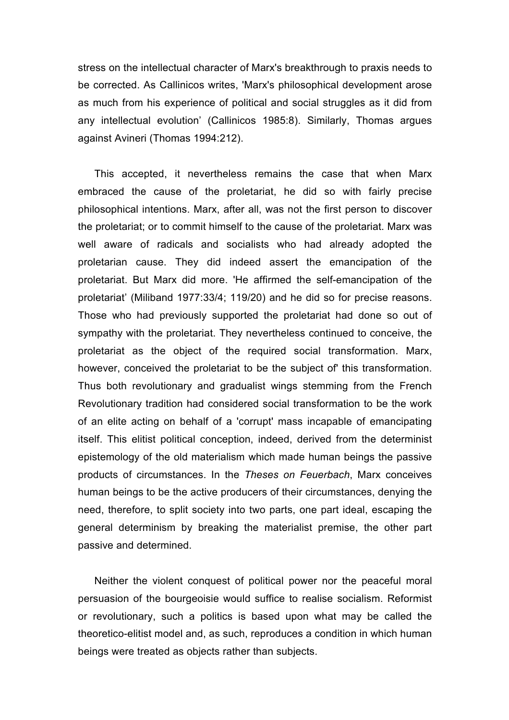stress on the intellectual character of Marx's breakthrough to praxis needs to be corrected. As Callinicos writes, 'Marx's philosophical development arose as much from his experience of political and social struggles as it did from any intellectual evolution' (Callinicos 1985:8). Similarly, Thomas argues against Avineri (Thomas 1994:212).

This accepted, it nevertheless remains the case that when Marx embraced the cause of the proletariat, he did so with fairly precise philosophical intentions. Marx, after all, was not the first person to discover the proletariat; or to commit himself to the cause of the proletariat. Marx was well aware of radicals and socialists who had already adopted the proletarian cause. They did indeed assert the emancipation of the proletariat. But Marx did more. 'He affirmed the self-emancipation of the proletariat' (Miliband 1977:33/4; 119/20) and he did so for precise reasons. Those who had previously supported the proletariat had done so out of sympathy with the proletariat. They nevertheless continued to conceive, the proletariat as the object of the required social transformation. Marx, however, conceived the proletariat to be the subject of' this transformation. Thus both revolutionary and gradualist wings stemming from the French Revolutionary tradition had considered social transformation to be the work of an elite acting on behalf of a 'corrupt' mass incapable of emancipating itself. This elitist political conception, indeed, derived from the determinist epistemology of the old materialism which made human beings the passive products of circumstances. In the *Theses on Feuerbach*, Marx conceives human beings to be the active producers of their circumstances, denying the need, therefore, to split society into two parts, one part ideal, escaping the general determinism by breaking the materialist premise, the other part passive and determined.

Neither the violent conquest of political power nor the peaceful moral persuasion of the bourgeoisie would suffice to realise socialism. Reformist or revolutionary, such a politics is based upon what may be called the theoretico-elitist model and, as such, reproduces a condition in which human beings were treated as objects rather than subjects.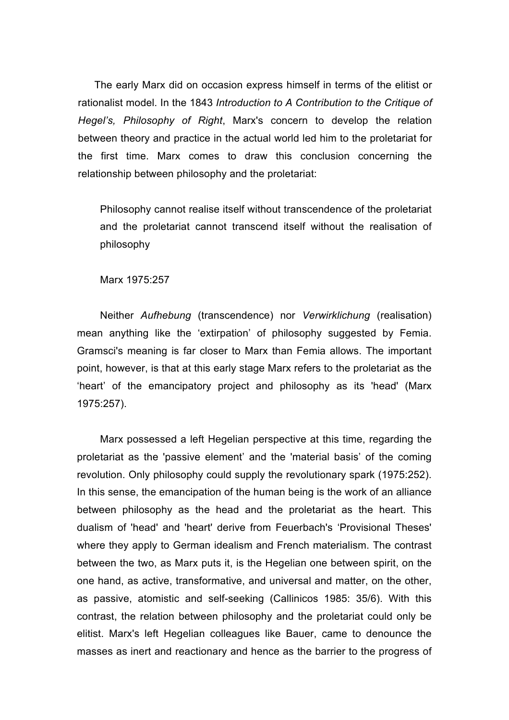The early Marx did on occasion express himself in terms of the elitist or rationalist model. In the 1843 *Introduction to A Contribution to the Critique of Hegel's, Philosophy of Right*, Marx's concern to develop the relation between theory and practice in the actual world led him to the proletariat for the first time. Marx comes to draw this conclusion concerning the relationship between philosophy and the proletariat:

Philosophy cannot realise itself without transcendence of the proletariat and the proletariat cannot transcend itself without the realisation of philosophy

## Marx 1975:257

Neither *Aufhebung* (transcendence) nor *Verwirklichung* (realisation) mean anything like the 'extirpation' of philosophy suggested by Femia. Gramsci's meaning is far closer to Marx than Femia allows. The important point, however, is that at this early stage Marx refers to the proletariat as the 'heart' of the emancipatory project and philosophy as its 'head' (Marx 1975:257).

Marx possessed a left Hegelian perspective at this time, regarding the proletariat as the 'passive element' and the 'material basis' of the coming revolution. Only philosophy could supply the revolutionary spark (1975:252). In this sense, the emancipation of the human being is the work of an alliance between philosophy as the head and the proletariat as the heart. This dualism of 'head' and 'heart' derive from Feuerbach's 'Provisional Theses' where they apply to German idealism and French materialism. The contrast between the two, as Marx puts it, is the Hegelian one between spirit, on the one hand, as active, transformative, and universal and matter, on the other, as passive, atomistic and self-seeking (Callinicos 1985: 35/6). With this contrast, the relation between philosophy and the proletariat could only be elitist. Marx's left Hegelian colleagues like Bauer, came to denounce the masses as inert and reactionary and hence as the barrier to the progress of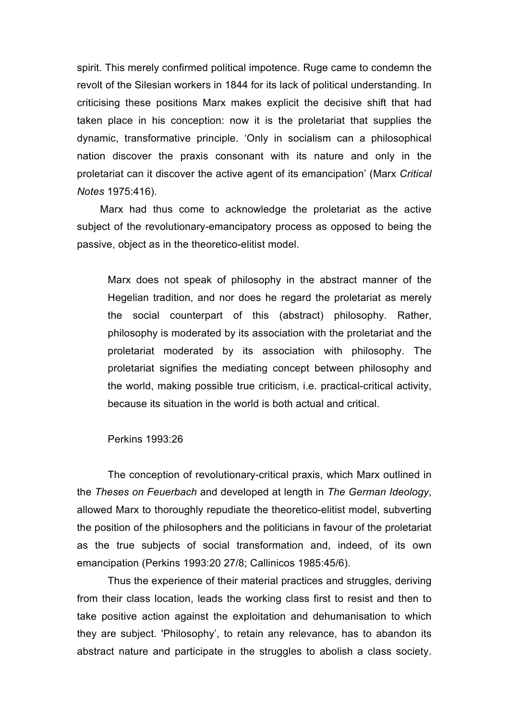spirit. This merely confirmed political impotence. Ruge came to condemn the revolt of the Silesian workers in 1844 for its lack of political understanding. In criticising these positions Marx makes explicit the decisive shift that had taken place in his conception: now it is the proletariat that supplies the dynamic, transformative principle. 'Only in socialism can a philosophical nation discover the praxis consonant with its nature and only in the proletariat can it discover the active agent of its emancipation' (Marx *Critical Notes* 1975:416).

Marx had thus come to acknowledge the proletariat as the active subject of the revolutionary-emancipatory process as opposed to being the passive, object as in the theoretico-elitist model.

Marx does not speak of philosophy in the abstract manner of the Hegelian tradition, and nor does he regard the proletariat as merely the social counterpart of this (abstract) philosophy. Rather, philosophy is moderated by its association with the proletariat and the proletariat moderated by its association with philosophy. The proletariat signifies the mediating concept between philosophy and the world, making possible true criticism, i.e. practical-critical activity, because its situation in the world is both actual and critical.

Perkins 1993:26

The conception of revolutionary-critical praxis, which Marx outlined in the *Theses on Feuerbach* and developed at length in *The German Ideology*, allowed Marx to thoroughly repudiate the theoretico-elitist model, subverting the position of the philosophers and the politicians in favour of the proletariat as the true subjects of social transformation and, indeed, of its own emancipation (Perkins 1993:20 27/8; Callinicos 1985:45/6).

Thus the experience of their material practices and struggles, deriving from their class location, leads the working class first to resist and then to take positive action against the exploitation and dehumanisation to which they are subject. 'Philosophy', to retain any relevance, has to abandon its abstract nature and participate in the struggles to abolish a class society.